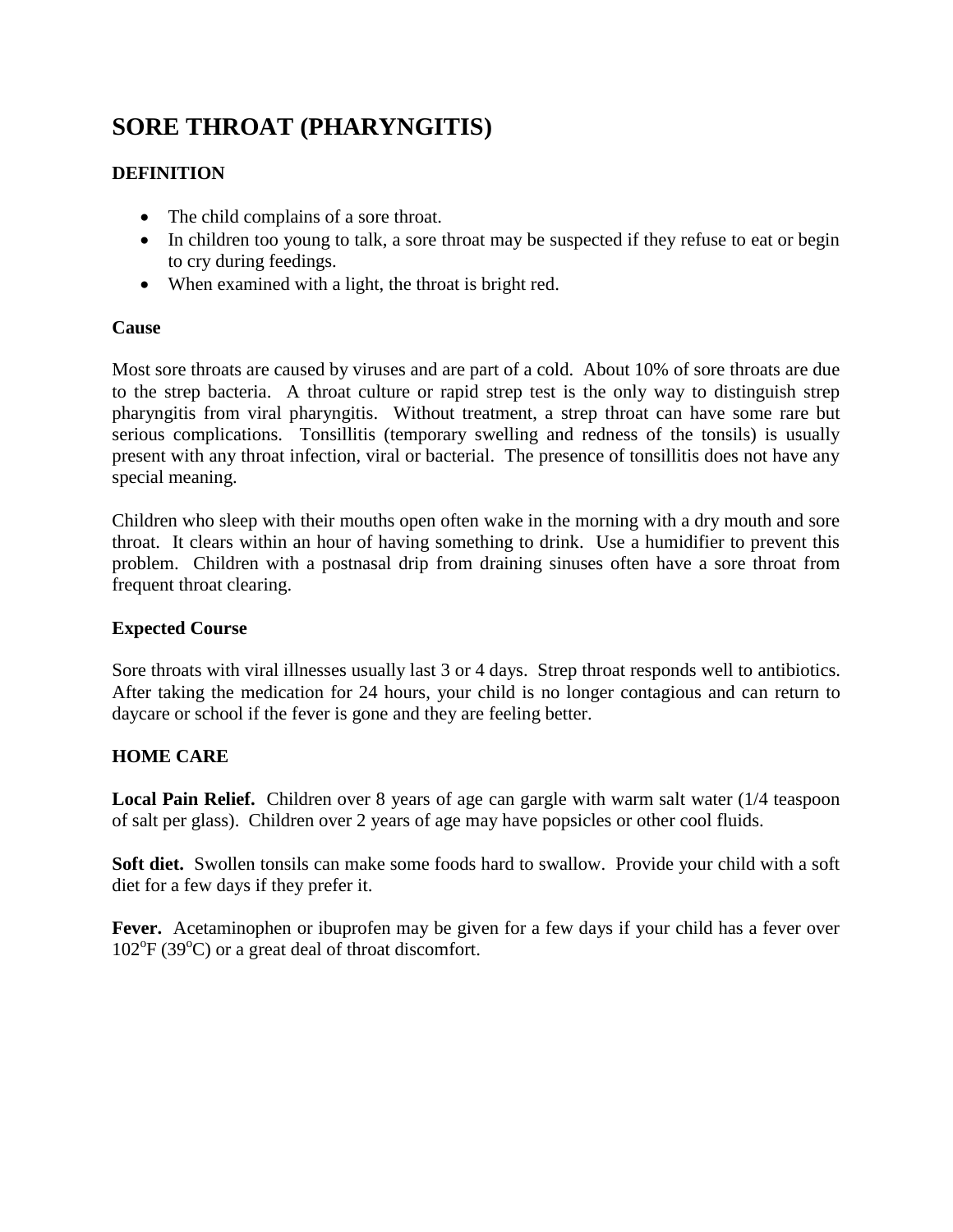# **SORE THROAT (PHARYNGITIS)**

## **DEFINITION**

- The child complains of a sore throat.
- In children too young to talk, a sore throat may be suspected if they refuse to eat or begin to cry during feedings.
- When examined with a light, the throat is bright red.

### **Cause**

Most sore throats are caused by viruses and are part of a cold. About 10% of sore throats are due to the strep bacteria. A throat culture or rapid strep test is the only way to distinguish strep pharyngitis from viral pharyngitis. Without treatment, a strep throat can have some rare but serious complications. Tonsillitis (temporary swelling and redness of the tonsils) is usually present with any throat infection, viral or bacterial. The presence of tonsillitis does not have any special meaning.

Children who sleep with their mouths open often wake in the morning with a dry mouth and sore throat. It clears within an hour of having something to drink. Use a humidifier to prevent this problem. Children with a postnasal drip from draining sinuses often have a sore throat from frequent throat clearing.

## **Expected Course**

Sore throats with viral illnesses usually last 3 or 4 days. Strep throat responds well to antibiotics. After taking the medication for 24 hours, your child is no longer contagious and can return to daycare or school if the fever is gone and they are feeling better.

## **HOME CARE**

**Local Pain Relief.** Children over 8 years of age can gargle with warm salt water (1/4 teaspoon of salt per glass). Children over 2 years of age may have popsicles or other cool fluids.

**Soft diet.** Swollen tonsils can make some foods hard to swallow. Provide your child with a soft diet for a few days if they prefer it.

Fever. Acetaminophen or ibuprofen may be given for a few days if your child has a fever over 102°F (39°C) or a great deal of throat discomfort.